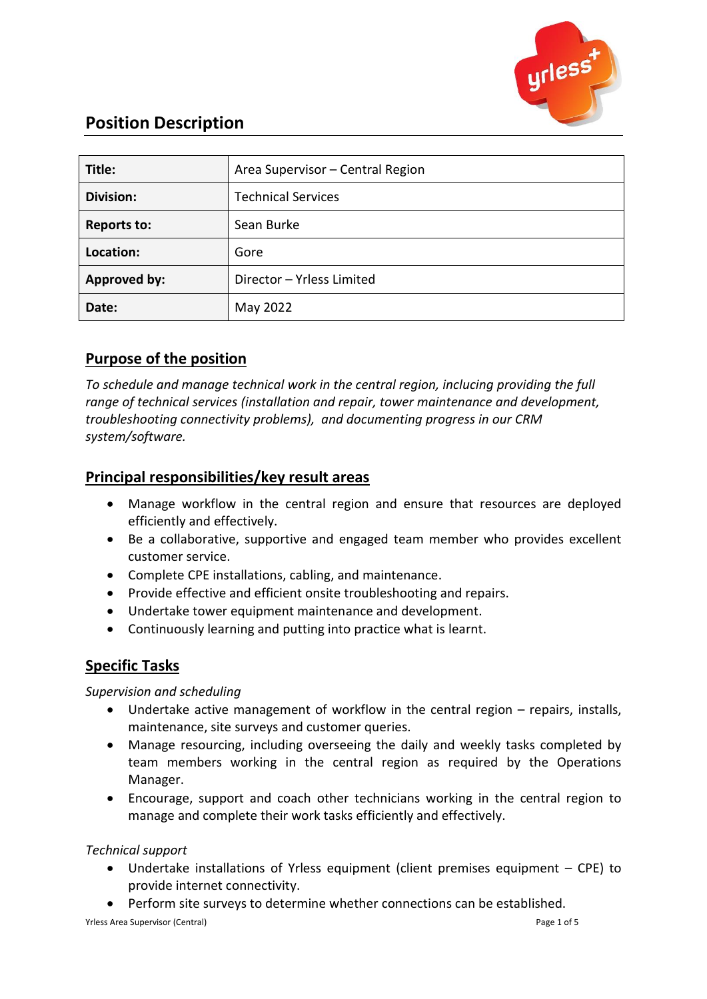

# **Position Description**

| Title:              | Area Supervisor - Central Region |
|---------------------|----------------------------------|
| <b>Division:</b>    | <b>Technical Services</b>        |
| <b>Reports to:</b>  | Sean Burke                       |
| Location:           | Gore                             |
| <b>Approved by:</b> | Director - Yrless Limited        |
| Date:               | May 2022                         |

## **Purpose of the position**

*To schedule and manage technical work in the central region, inclucing providing the full range of technical services (installation and repair, tower maintenance and development, troubleshooting connectivity problems), and documenting progress in our CRM system/software.*

## **Principal responsibilities/key result areas**

- Manage workflow in the central region and ensure that resources are deployed efficiently and effectively.
- Be a collaborative, supportive and engaged team member who provides excellent customer service.
- Complete CPE installations, cabling, and maintenance.
- Provide effective and efficient onsite troubleshooting and repairs.
- Undertake tower equipment maintenance and development.
- Continuously learning and putting into practice what is learnt.

## **Specific Tasks**

## *Supervision and scheduling*

- Undertake active management of workflow in the central region repairs, installs, maintenance, site surveys and customer queries.
- Manage resourcing, including overseeing the daily and weekly tasks completed by team members working in the central region as required by the Operations Manager.
- Encourage, support and coach other technicians working in the central region to manage and complete their work tasks efficiently and effectively.

## *Technical support*

- Undertake installations of Yrless equipment (client premises equipment CPE) to provide internet connectivity.
- Perform site surveys to determine whether connections can be established.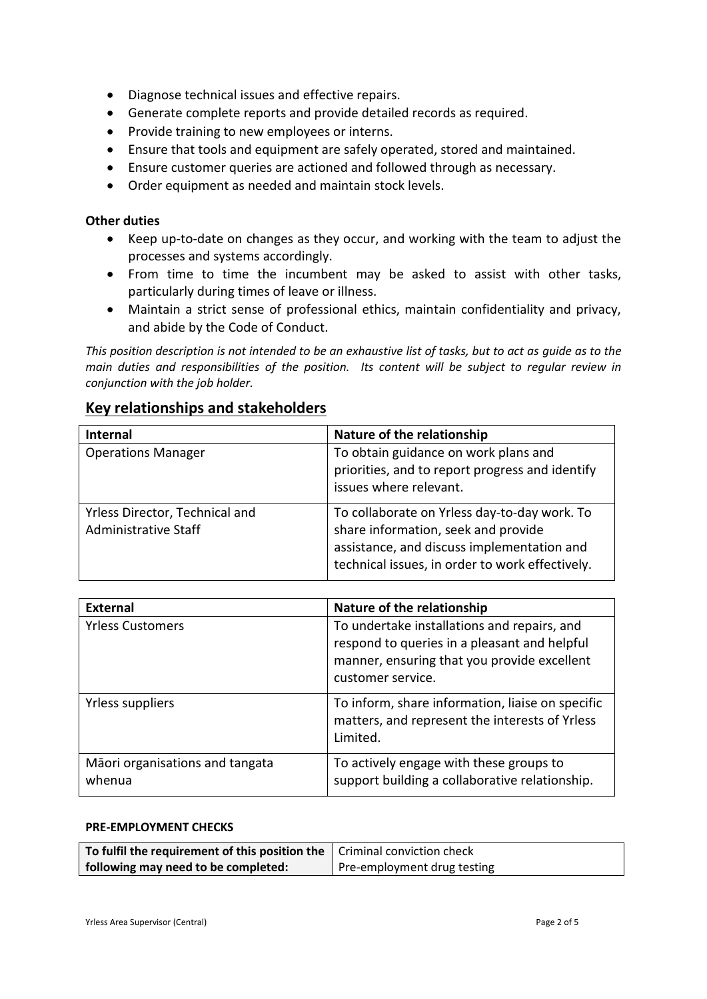- Diagnose technical issues and effective repairs.
- Generate complete reports and provide detailed records as required.
- Provide training to new employees or interns.
- Ensure that tools and equipment are safely operated, stored and maintained.
- Ensure customer queries are actioned and followed through as necessary.
- Order equipment as needed and maintain stock levels.

#### **Other duties**

- Keep up-to-date on changes as they occur, and working with the team to adjust the processes and systems accordingly.
- From time to time the incumbent may be asked to assist with other tasks, particularly during times of leave or illness.
- Maintain a strict sense of professional ethics, maintain confidentiality and privacy, and abide by the Code of Conduct.

*This position description is not intended to be an exhaustive list of tasks, but to act as guide as to the main duties and responsibilities of the position. Its content will be subject to regular review in conjunction with the job holder.*

### **Key relationships and stakeholders**

| <b>Internal</b>                                        | Nature of the relationship                                                                                                                                                           |
|--------------------------------------------------------|--------------------------------------------------------------------------------------------------------------------------------------------------------------------------------------|
| <b>Operations Manager</b>                              | To obtain guidance on work plans and<br>priorities, and to report progress and identify<br>issues where relevant.                                                                    |
| Yrless Director, Technical and<br>Administrative Staff | To collaborate on Yrless day-to-day work. To<br>share information, seek and provide<br>assistance, and discuss implementation and<br>technical issues, in order to work effectively. |

| <b>External</b>                           | Nature of the relationship                                                                                                                                      |
|-------------------------------------------|-----------------------------------------------------------------------------------------------------------------------------------------------------------------|
| <b>Yrless Customers</b>                   | To undertake installations and repairs, and<br>respond to queries in a pleasant and helpful<br>manner, ensuring that you provide excellent<br>customer service. |
| Yrless suppliers                          | To inform, share information, liaise on specific<br>matters, and represent the interests of Yrless<br>Limited.                                                  |
| Māori organisations and tangata<br>whenua | To actively engage with these groups to<br>support building a collaborative relationship.                                                                       |

#### **PRE-EMPLOYMENT CHECKS**

| To fulfil the requirement of this position the $\vert$ Criminal conviction check |                             |
|----------------------------------------------------------------------------------|-----------------------------|
| following may need to be completed:                                              | Pre-employment drug testing |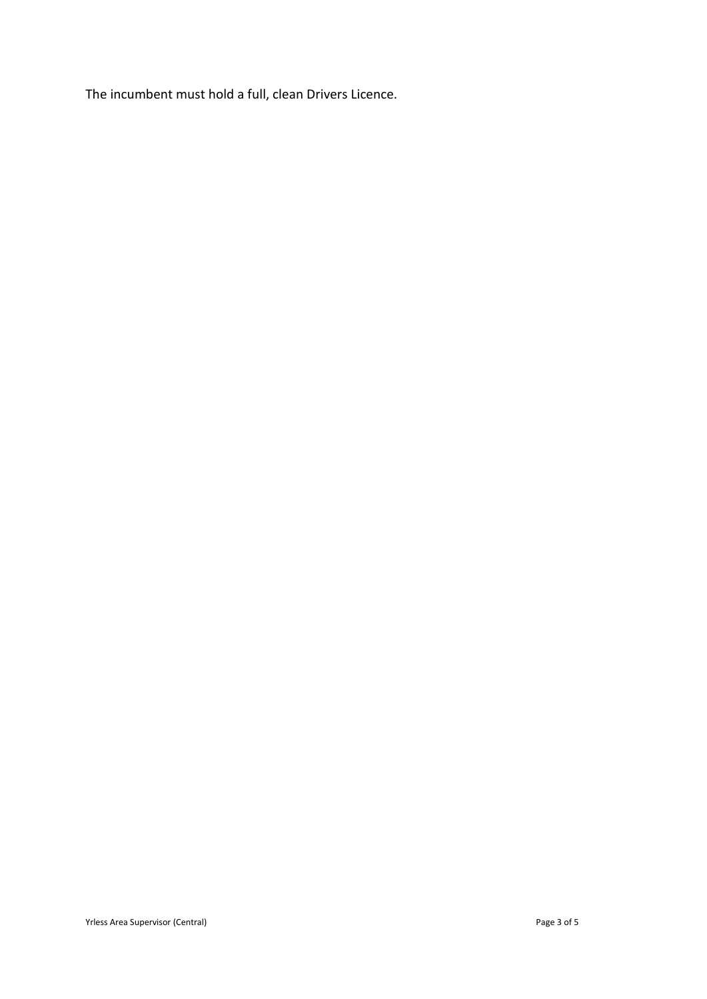The incumbent must hold a full, clean Drivers Licence.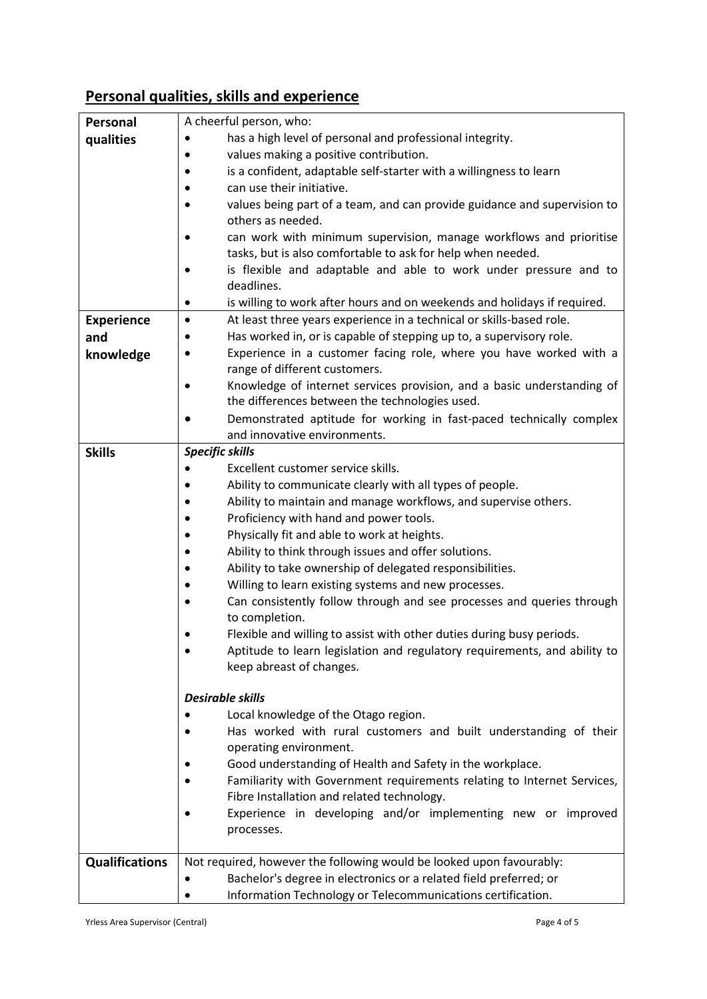# **Personal qualities, skills and experience**

| Personal              | A cheerful person, who:                                                                             |  |
|-----------------------|-----------------------------------------------------------------------------------------------------|--|
| qualities             | has a high level of personal and professional integrity.                                            |  |
|                       | values making a positive contribution.                                                              |  |
|                       | is a confident, adaptable self-starter with a willingness to learn                                  |  |
|                       | can use their initiative.                                                                           |  |
|                       | values being part of a team, and can provide guidance and supervision to                            |  |
|                       | others as needed.                                                                                   |  |
|                       | can work with minimum supervision, manage workflows and prioritise                                  |  |
|                       | tasks, but is also comfortable to ask for help when needed.                                         |  |
|                       | is flexible and adaptable and able to work under pressure and to                                    |  |
|                       | deadlines.                                                                                          |  |
|                       | is willing to work after hours and on weekends and holidays if required.<br>$\bullet$               |  |
| <b>Experience</b>     | At least three years experience in a technical or skills-based role.<br>$\bullet$                   |  |
| and                   | Has worked in, or is capable of stepping up to, a supervisory role.                                 |  |
| knowledge             | Experience in a customer facing role, where you have worked with a<br>range of different customers. |  |
|                       | Knowledge of internet services provision, and a basic understanding of                              |  |
|                       | the differences between the technologies used.                                                      |  |
|                       | Demonstrated aptitude for working in fast-paced technically complex                                 |  |
|                       | and innovative environments.                                                                        |  |
| <b>Skills</b>         | <b>Specific skills</b>                                                                              |  |
|                       | Excellent customer service skills.                                                                  |  |
|                       | Ability to communicate clearly with all types of people.                                            |  |
|                       | Ability to maintain and manage workflows, and supervise others.                                     |  |
|                       | Proficiency with hand and power tools.                                                              |  |
|                       | Physically fit and able to work at heights.                                                         |  |
|                       | Ability to think through issues and offer solutions.                                                |  |
|                       | Ability to take ownership of delegated responsibilities.                                            |  |
|                       | Willing to learn existing systems and new processes.                                                |  |
|                       | Can consistently follow through and see processes and queries through<br>to completion.             |  |
|                       | Flexible and willing to assist with other duties during busy periods.                               |  |
|                       | Aptitude to learn legislation and regulatory requirements, and ability to                           |  |
|                       | keep abreast of changes.                                                                            |  |
|                       | <b>Desirable skills</b>                                                                             |  |
|                       | Local knowledge of the Otago region.                                                                |  |
|                       | Has worked with rural customers and built understanding of their                                    |  |
|                       | operating environment.                                                                              |  |
|                       | Good understanding of Health and Safety in the workplace.                                           |  |
|                       | Familiarity with Government requirements relating to Internet Services,                             |  |
|                       | Fibre Installation and related technology.                                                          |  |
|                       | Experience in developing and/or implementing new or improved                                        |  |
|                       | processes.                                                                                          |  |
| <b>Qualifications</b> | Not required, however the following would be looked upon favourably:                                |  |
|                       | Bachelor's degree in electronics or a related field preferred; or                                   |  |
|                       | Information Technology or Telecommunications certification.                                         |  |